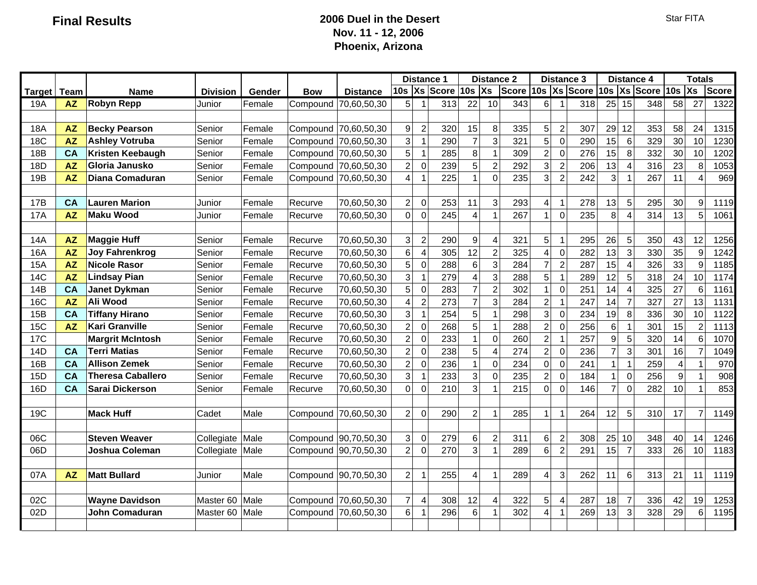### **Final Results 2006 Duel in the Desert Nov. 11 - 12, 2006 Phoenix, Arizona**

|               |           |                          |                 |        |            |                      |                           | <b>Distance 1</b>       |     |                         |                          | <b>Distance 2</b> |                  |                | <b>Distance 3</b> |                | <b>Distance 4</b>        |              |                  | <b>Totals</b>  |              |
|---------------|-----------|--------------------------|-----------------|--------|------------|----------------------|---------------------------|-------------------------|-----|-------------------------|--------------------------|-------------------|------------------|----------------|-------------------|----------------|--------------------------|--------------|------------------|----------------|--------------|
| <b>Target</b> | Team      | <b>Name</b>              | <b>Division</b> | Gender | <b>Bow</b> | <b>Distance</b>      |                           |                         |     | 10s Xs Score 10s Xs     |                          | <b>Score</b>      |                  |                | 10s Xs Score      |                |                          | 10s Xs Score | 10s              | Xs             | <b>Score</b> |
| 19A           | <b>AZ</b> | <b>Robyn Repp</b>        | Junior          | Female | Compound   | 70,60,50,30          | 5                         | $\overline{1}$          | 313 | 22                      | 10                       | 343               | $6 \overline{6}$ |                | 318               | 25             | 15                       | 348          | 58               | 27             | 1322         |
|               |           |                          |                 |        |            |                      |                           |                         |     |                         |                          |                   |                  |                |                   |                |                          |              |                  |                |              |
| 18A           | <b>AZ</b> | <b>Becky Pearson</b>     | Senior          | Female |            | Compound 70,60,50,30 | 9                         | $\overline{2}$          | 320 | 15                      | 8                        | 335               | 5                | $\overline{2}$ | 307               | 29             | 12                       | 353          | 58               | 24             | 1315         |
| <b>18C</b>    | <b>AZ</b> | <b>Ashley Votruba</b>    | Senior          | Female |            | Compound 70,60,50,30 | 3                         | $\mathbf{1}$            | 290 | $\overline{7}$          | 3                        | 321               | 5                | $\mathbf 0$    | 290               | 15             | 6                        | 329          | 30               | 10             | 1230         |
| 18B           | <b>CA</b> | Kristen Keebaugh         | Senior          | Female |            | Compound 70,60,50,30 | 5                         | $\mathbf{1}$            | 285 | 8                       | $\overline{1}$           | 309               | $\overline{c}$   | $\mathbf 0$    | 276               | 15             | 8                        | 332          | 30               | 10             | 1202         |
| 18D           | <b>AZ</b> | Gloria Janusko           | Senior          | Female |            | Compound 70,60,50,30 | $\overline{2}$            | $\mathbf 0$             | 239 | 5                       | $\overline{2}$           | 292               | 3                | $\overline{2}$ | 206               | 13             | $\boldsymbol{\varDelta}$ | 316          | 23               | 8              | 1053         |
| 19B           | <b>AZ</b> | Diana Comaduran          | Senior          | Female |            | Compound 70,60,50,30 | 4                         | $\overline{1}$          | 225 | 1                       | $\Omega$                 | 235               | 3                | $\overline{2}$ | 242               | 3              |                          | 267          | 11               | $\overline{4}$ | 969          |
|               |           |                          |                 |        |            |                      |                           |                         |     |                         |                          |                   |                  |                |                   |                |                          |              |                  |                |              |
| 17B           | CA        | <b>Lauren Marion</b>     | Junior          | Female | Recurve    | 70,60,50,30          | $\overline{c}$            | $\mathbf 0$             | 253 | 11                      | 3                        | 293               | 4                | 1              | 278               | 13             | 5                        | 295          | 30               | 9              | 1119         |
| <b>17A</b>    | <b>AZ</b> | <b>Maku Wood</b>         | Junior          | Female | Recurve    | 70,60,50,30          | $\mathbf 0$               | $\mathbf 0$             | 245 | $\overline{\mathbf{4}}$ | -1                       | 267               | $\mathbf{1}$     | $\overline{0}$ | 235               | 8              | 4                        | 314          | 13               | 5              | 1061         |
|               |           |                          |                 |        |            |                      |                           |                         |     |                         |                          |                   |                  |                |                   |                |                          |              |                  |                |              |
| <b>14A</b>    | <b>AZ</b> | <b>Maggie Huff</b>       | Senior          | Female | Recurve    | 70,60,50,30          | $\ensuremath{\mathsf{3}}$ | $\sqrt{2}$              | 290 | 9                       | $\overline{\mathcal{L}}$ | 321               | 5                | 1              | 295               | 26             | 5                        | 350          | 43               | 12             | 1256         |
| 16A           | <b>AZ</b> | <b>Joy Fahrenkrog</b>    | Senior          | Female | Recurve    | 70,60,50,30          | 6                         | $\overline{\mathbf{4}}$ | 305 | 12                      | $\overline{2}$           | 325               | 4                | $\Omega$       | 282               | 13             | 3                        | 330          | 35               | 9              | 1242         |
| <b>15A</b>    | <b>AZ</b> | <b>Nicole Rasor</b>      | Senior          | Female | Recurve    | 70,60,50,30          | 5                         | $\pmb{0}$               | 288 | 6                       | 3                        | 284               | $\overline{7}$   | $\overline{2}$ | 287               | 15             | $\boldsymbol{\Delta}$    | 326          | 33               | 9              | 1185         |
| <b>14C</b>    | <b>AZ</b> | <b>Lindsay Pian</b>      | Senior          | Female | Recurve    | 70,60,50,30          | 3                         | $\mathbf{1}$            | 279 | $\overline{\mathbf{4}}$ | $\mathbf{3}$             | 288               | 5                | $\overline{1}$ | 289               | 12             | 5                        | 318          | 24               | 10             | 1174         |
| 14B           | CA        | <b>Janet Dykman</b>      | Senior          | Female | Recurve    | 70,60,50,30          | 5                         | $\mathbf 0$             | 283 | $\overline{7}$          | $\overline{2}$           | 302               | $\mathbf{1}$     | $\Omega$       | 251               | 14             | 4                        | 325          | 27               | 6              | 1161         |
| <b>16C</b>    | <b>AZ</b> | Ali Wood                 | Senior          | Female | Recurve    | 70,60,50,30          | 4                         | $\sqrt{2}$              | 273 | $\overline{7}$          | 3                        | 284               | $\overline{c}$   | -1             | 247               | 14             | $\overline{7}$           | 327          | 27               | 13             | 1131         |
| 15B           | CA        | <b>Tiffany Hirano</b>    | Senior          | Female | Recurve    | 70,60,50,30          | 3                         | $\mathbf{1}$            | 254 | 5                       | -1                       | 298               | 3                | $\overline{0}$ | 234               | 19             | 8                        | 336          | 30               | 10             | 1122         |
| <b>15C</b>    | AZ        | Kari Granville           | Senior          | Female | Recurve    | 70,60,50,30          | $\overline{c}$            | $\mathbf 0$             | 268 | 5                       | -1                       | 288               | $\overline{2}$   | $\Omega$       | 256               | $6\phantom{a}$ |                          | 301          | 15               | $\overline{c}$ | 1113         |
| <b>17C</b>    |           | <b>Margrit McIntosh</b>  | Senior          | Female | Recurve    | 70,60,50,30          | $\overline{c}$            | $\pmb{0}$               | 233 | $\mathbf{1}$            | $\Omega$                 | 260               | $\overline{c}$   | -1             | 257               | $\mathsf g$    | 5                        | 320          | 14               | 6              | 1070         |
| 14D           | <b>CA</b> | <b>Terri Matias</b>      | Senior          | Female | Recurve    | 70,60,50,30          | $\overline{2}$            | $\pmb{0}$               | 238 | 5                       | $\Delta$                 | 274               | $\overline{2}$   | 0              | 236               | $\mathbf{z}$   | 3                        | 301          | 16               | $\overline{7}$ | 1049         |
| 16B           | <b>CA</b> | <b>Allison Zemek</b>     | Senior          | Female | Recurve    | 70,60,50,30          | $\overline{c}$            | $\mathbf 0$             | 236 | $\mathbf{1}$            | $\Omega$                 | 234               | $\overline{0}$   | $\Omega$       | 241               | $\mathbf{1}$   | 1                        | 259          | $\overline{4}$   | 1              | 970          |
| 15D           | CA        | <b>Theresa Caballero</b> | Senior          | Female | Recurve    | 70,60,50,30          | 3                         | $\mathbf{1}$            | 233 | 3                       | $\Omega$                 | 235               | $\overline{2}$   | $\Omega$       | 184               | $\mathbf{1}$   | $\Omega$                 | 256          | $\boldsymbol{9}$ | $\mathbf{1}$   | 908          |
| 16D           | <b>CA</b> | <b>Sarai Dickerson</b>   | Senior          | Female | Recurve    | 70,60,50,30          | $\overline{0}$            | $\overline{0}$          | 210 | 3                       | -1                       | 215               | $\overline{0}$   | 0              | 146               | $\overline{7}$ | $\Omega$                 | 282          | 10               | $\mathbf{1}$   | 853          |
|               |           |                          |                 |        |            |                      |                           |                         |     |                         |                          |                   |                  |                |                   |                |                          |              |                  |                |              |
| 19C           |           | <b>Mack Huff</b>         | Cadet           | Male   |            | Compound 70,60,50,30 | $\overline{c}$            | $\mathbf 0$             | 290 | $\overline{c}$          | -1                       | 285               | 1                | 11             | 264               | 12             | 5                        | 310          | 17               | $\overline{7}$ | 1149         |
|               |           |                          |                 |        |            |                      |                           |                         |     |                         |                          |                   |                  |                |                   |                |                          |              |                  |                |              |
| 06C           |           | <b>Steven Weaver</b>     | Collegiate      | Male   |            | Compound 90,70,50,30 | 3                         | $\mathbf 0$             | 279 | 6                       | $\overline{2}$           | 311               | 6                | $\overline{2}$ | 308               | 25             | 10                       | 348          | 40               | 14             | 1246         |
| 06D           |           | Joshua Coleman           | Collegiate Male |        |            | Compound 90,70,50,30 | $\overline{2}$            | $\mathbf 0$             | 270 | 3                       | -1                       | 289               | $6\vert$         | $\overline{2}$ | 291               | 15             | $\overline{7}$           | 333          | 26               | 10             | 1183         |
|               |           |                          |                 |        |            |                      |                           |                         |     |                         |                          |                   |                  |                |                   |                |                          |              |                  |                |              |
| 07A           | <b>AZ</b> | <b>Matt Bullard</b>      | Junior          | Male   |            | Compound 90,70,50,30 | $\overline{2}$            | $\mathbf{1}$            | 255 | 4                       | -1                       | 289               | 4                | 3              | 262               | 11             | 6                        | 313          | 21               | 11             | 1119         |
|               |           |                          |                 |        |            |                      |                           |                         |     |                         |                          |                   |                  |                |                   |                |                          |              |                  |                |              |
| 02C           |           | <b>Wayne Davidson</b>    | Master 60       | Male   |            | Compound 70,60,50,30 | $\boldsymbol{7}$          | $\overline{4}$          | 308 | 12                      | $\overline{\mathcal{L}}$ | 322               | 5                | 4              | 287               | 18             | $\overline{7}$           | 336          | 42               | 19             | 1253         |
| 02D           |           | John Comaduran           | Master 60       | Male   |            | Compound 70,60,50,30 | 6                         | $\mathbf{1}$            | 296 | 6                       |                          | 302               | $\overline{4}$   | $\vert$ 1      | 269               | 13             | 3                        | 328          | 29               | 6              | 1195         |
|               |           |                          |                 |        |            |                      |                           |                         |     |                         |                          |                   |                  |                |                   |                |                          |              |                  |                |              |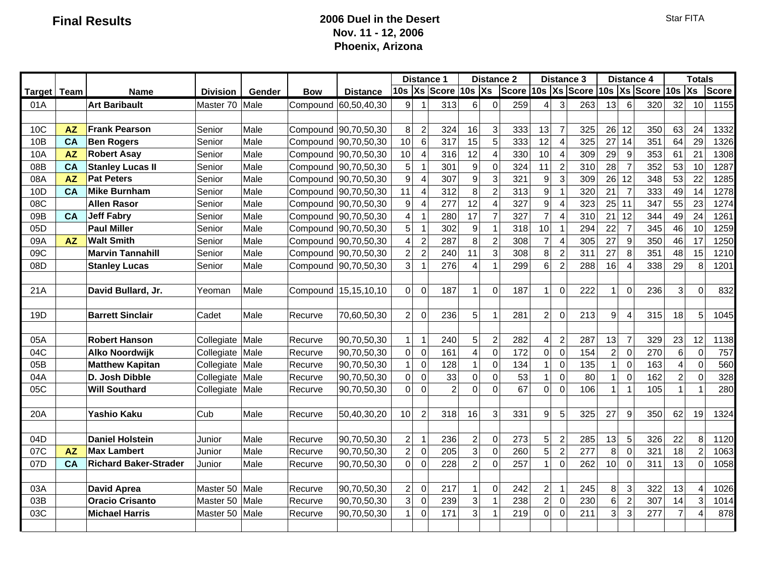### **Final Results 2006 Duel in the Desert Nov. 11 - 12, 2006 Phoenix, Arizona**

|                 |           |                              |                 |        |            |                      |                         | <b>Distance 1</b> |                |                     |                         | <b>Distance 2</b>               |                     |                | <b>Distance 3</b> |                 |                       | <b>Distance 4</b> |                 | <b>Totals</b>  |              |
|-----------------|-----------|------------------------------|-----------------|--------|------------|----------------------|-------------------------|-------------------|----------------|---------------------|-------------------------|---------------------------------|---------------------|----------------|-------------------|-----------------|-----------------------|-------------------|-----------------|----------------|--------------|
| <b>Target</b>   | Team      | <b>Name</b>                  | <b>Division</b> | Gender | <b>Bow</b> | <b>Distance</b>      |                         |                   |                | 10s Xs Score 10s Xs |                         | Score 10s Xs Score 10s Xs Score |                     |                |                   |                 |                       |                   | 10s             | Xs             | <b>Score</b> |
| 01A             |           | <b>Art Baribault</b>         | Master 70       | Male   |            | Compound 60,50,40,30 | $\overline{9}$          | -1                | 313            | 6                   | $\Omega$                | 259                             | 4                   | $\mathbf{3}$   | 263               | 13              | 6                     | 320               | 32              | 10             | 1155         |
|                 |           |                              |                 |        |            |                      |                         |                   |                |                     |                         |                                 |                     |                |                   |                 |                       |                   |                 |                |              |
| 10C             | <b>AZ</b> | <b>Frank Pearson</b>         | Senior          | Male   |            | Compound 90,70,50,30 | 8                       | $\sqrt{2}$        | 324            | 16                  | $\mathbf{3}$            | 333                             | 13                  | $\overline{7}$ | 325               | 26              | 12                    | 350               | 63              | 24             | 1332         |
| 10 <sub>B</sub> | CA        | <b>Ben Rogers</b>            | Senior          | Male   |            | Compound 90,70,50,30 | 10                      | $6\phantom{1}6$   | 317            | 15                  | 5                       | 333                             | 12                  | $\overline{4}$ | 325               | 27              | 14                    | 351               | 64              | 29             | 1326         |
| 10A             | <b>AZ</b> | <b>Robert Asay</b>           | Senior          | Male   |            | Compound 90,70,50,30 | 10                      | $\overline{4}$    | 316            | 12                  | $\overline{4}$          | 330                             | 10                  | $\overline{4}$ | 309               | 29              | 9                     | 353               | 61              | 21             | 1308         |
| 08B             | CA        | <b>Stanley Lucas II</b>      | Senior          | Male   |            | Compound 90,70,50,30 | 5                       | $\overline{1}$    | 301            | $\boldsymbol{9}$    | $\pmb{0}$               | 324                             | 11                  | $\sqrt{2}$     | 310               | 28              | $\overline{7}$        | 352               | 53              | 10             | 1287         |
| 08A             | <b>AZ</b> | <b>Pat Peters</b>            | Senior          | Male   |            | Compound 90,70,50,30 | 9                       | $\overline{4}$    | 307            | $\boldsymbol{9}$    | 3                       | 321                             | 9                   | 3              | 309               | 26              | 12                    | 348               | 53              | 22             | 1285         |
| 10D             | <b>CA</b> | <b>Mike Burnham</b>          | Senior          | Male   |            | Compound 90,70,50,30 | 11                      | $\overline{4}$    | 312            | 8                   | $\overline{2}$          | 313                             | 9                   | $\overline{1}$ | 320               | 21              | $\overline{7}$        | 333               | 49              | 14             | 1278         |
| 08C             |           | <b>Allen Rasor</b>           | Senior          | Male   |            | Compound 90,70,50,30 | 9                       | $\overline{4}$    | 277            | 12                  | $\overline{A}$          | 327                             | 9                   | $\overline{4}$ | 323               | 25              | 11                    | 347               | 55              | 23             | 1274         |
| 09B             | <b>CA</b> | <b>Jeff Fabry</b>            | Senior          | Male   |            | Compound 90,70,50,30 | 4                       | $\mathbf{1}$      | 280            | 17                  | $\overline{7}$          | 327                             | $\overline{7}$      | $\overline{4}$ | 310               | 21              | 12                    | 344               | 49              | 24             | 1261         |
| 05D             |           | <b>Paul Miller</b>           | Senior          | Male   |            | Compound 90,70,50,30 | 5                       | $\overline{1}$    | 302            | 9                   | $\overline{1}$          | 318                             | 10                  | $\overline{1}$ | 294               | 22              | $\overline{7}$        | 345               | 46              | 10             | 1259         |
| 09A             | <b>AZ</b> | <b>Walt Smith</b>            | Senior          | Male   |            | Compound 90,70,50,30 | 4                       | $\overline{2}$    | 287            | 8                   | $\overline{2}$          | 308                             | $\overline{7}$      | $\overline{4}$ | 305               | 27              | 9                     | 350               | 46              | 17             | 1250         |
| 09C             |           | <b>Marvin Tannahill</b>      | Senior          | Male   |            | Compound 90,70,50,30 | $\overline{c}$          | $\overline{2}$    | 240            | 11                  | 3                       | 308                             | 8                   | $\overline{2}$ | 311               | 27              | 8                     | 351               | 48              | 15             | 1210         |
| 08D             |           | <b>Stanley Lucas</b>         | Senior          | Male   |            | Compound 90,70,50,30 | 3                       | $\overline{1}$    | 276            | $\overline{4}$      | $\overline{\mathbf{1}}$ | 299                             | 6                   | $\overline{2}$ | 288               | 16              | $\boldsymbol{\Delta}$ | 338               | 29              | 8              | 1201         |
|                 |           |                              |                 |        |            |                      |                         |                   |                |                     |                         |                                 |                     |                |                   |                 |                       |                   |                 |                |              |
| 21A             |           | David Bullard, Jr.           | Yeoman          | Male   |            | Compound 15,15,10,10 | $\mathbf 0$             | $\mathbf{0}$      | 187            | 1                   | $\Omega$                | 187                             | 1                   | $\Omega$       | 222               | $\mathbf{1}$    | $\Omega$              | 236               | 3 <sup>1</sup>  | $\Omega$       | 832          |
|                 |           |                              |                 |        |            |                      |                         |                   |                |                     |                         |                                 |                     |                |                   |                 |                       |                   |                 |                |              |
| 19D             |           | <b>Barrett Sinclair</b>      | Cadet           | Male   | Recurve    | 70,60,50,30          | $\overline{c}$          | $\mathbf 0$       | 236            | 5                   | -1                      | 281                             | $\overline{c}$      | $\Omega$       | 213               | 9 <sup>1</sup>  | $\overline{4}$        | 315               | 18              | 5              | 1045         |
|                 |           |                              |                 |        |            |                      |                         |                   |                |                     |                         |                                 |                     |                |                   |                 |                       |                   |                 |                |              |
| 05A             |           | <b>Robert Hanson</b>         | Collegiate Male |        | Recurve    | 90,70,50,30          | $\mathbf{1}$            | $\mathbf{1}$      | 240            | 5                   | $\overline{2}$          | 282                             | 4                   | $\overline{2}$ | 287               | 13              | $\overline{7}$        | 329               | 23              | 12             | 1138         |
| 04C             |           | <b>Alko Noordwijk</b>        | Collegiate Male |        | Recurve    | 90,70,50,30          | $\mathbf 0$             | $\mathbf 0$       | 161            | $\overline{4}$      | $\Omega$                | 172                             | $\mathbf 0$         | $\mathbf 0$    | 154               | $\overline{2}$  | $\Omega$              | 270               | $6\overline{6}$ | $\mathbf 0$    | 757          |
| 05B             |           | <b>Matthew Kapitan</b>       | Collegiate Male |        | Recurve    | 90,70,50,30          | $\mathbf{1}$            | $\mathbf 0$       | 128            | $\mathbf{1}$        | $\Omega$                | 134                             | $\mathbf{1}$        | $\Omega$       | 135               | $\mathbf{1}$    | $\Omega$              | 163               | $\overline{4}$  | $\mathbf 0$    | 560          |
| 04A             |           | D. Josh Dibble               | Collegiate      | Male   | Recurve    | 90,70,50,30          | $\mathbf 0$             | $\mathbf 0$       | 33             | 0                   | $\Omega$                | 53                              | $\mathbf{1}$        | $\mathbf 0$    | 80                | $\mathbf{1}$    | $\Omega$              | 162               | $\overline{2}$  | $\mathbf 0$    | 328          |
| 05C             |           | <b>Will Southard</b>         | Collegiate Male |        | Recurve    | 90,70,50,30          | $\overline{0}$          | $\mathbf 0$       | $\overline{2}$ | $\Omega$            | $\Omega$                | 67                              | $\mathsf{O}\xspace$ | $\Omega$       | 106               | $\mathbf{1}$    | -1                    | 105               | $\mathbf{1}$    | $\overline{1}$ | 280          |
|                 |           |                              |                 |        |            |                      |                         |                   |                |                     |                         |                                 |                     |                |                   |                 |                       |                   |                 |                |              |
| 20A             |           | Yashio Kaku                  | Cub             | Male   | Recurve    | 50,40,30,20          | 10                      | $\overline{2}$    | 318            | 16                  | 3                       | 331                             | $\boldsymbol{9}$    | 5              | 325               | 27              | 9                     | 350               | 62              | 19             | 1324         |
|                 |           |                              |                 |        |            |                      |                         |                   |                |                     |                         |                                 |                     |                |                   |                 |                       |                   |                 |                |              |
| 04D             |           | <b>Daniel Holstein</b>       | Junior          | Male   | Recurve    | 90,70,50,30          | $\overline{\mathbf{c}}$ | $\mathbf{1}$      | 236            | $\overline{c}$      | $\Omega$                | 273                             | 5                   | $\overline{c}$ | 285               | 13              | $\sqrt{5}$            | 326               | 22              | 8 <sup>1</sup> | 1120         |
| 07C             | <b>AZ</b> | <b>Max Lambert</b>           | Junior          | Male   | Recurve    | 90,70,50,30          | $\overline{c}$          | $\mathbf 0$       | 205            | 3                   | $\Omega$                | 260                             | 5                   | $\overline{2}$ | 277               | 8               | $\Omega$              | 321               | 18              | $\overline{2}$ | 1063         |
| 07D             | <b>CA</b> | <b>Richard Baker-Strader</b> | Junior          | Male   | Recurve    | 90,70,50,30          | $\overline{0}$          | $\mathbf 0$       | 228            | $\overline{2}$      | $\Omega$                | 257                             | $\mathbf{1}$        | $\Omega$       | 262               | 10 <sup>1</sup> | $\mathbf{0}$          | 311               | 13              | 0              | 1058         |
|                 |           |                              |                 |        |            |                      |                         |                   |                |                     |                         |                                 |                     |                |                   |                 |                       |                   |                 |                |              |
| 03A             |           | <b>David Aprea</b>           | Master 50 Male  |        | Recurve    | 90,70,50,30          | 2                       | $\mathbf 0$       | 217            | 1                   | $\Omega$                | 242                             | 2                   |                | 245               | 8 <sup>1</sup>  | 3                     | 322               | 13              | 4              | 1026         |
| 03B             |           | <b>Oracio Crisanto</b>       | Master 50       | Male   | Recurve    | 90,70,50,30          | 3                       | $\mathbf 0$       | 239            | 3                   | $\mathbf 1$             | 238                             | $\overline{c}$      | $\mathbf 0$    | 230               | $6 \mid$        | $\overline{c}$        | 307               | 14              | 3              | 1014         |
| 03C             |           | <b>Michael Harris</b>        | Master 50       | Male   | Recurve    | 90,70,50,30          | 1                       | $\mathbf 0$       | 171            | 3                   |                         | 219                             | $\overline{0}$      | $\Omega$       | 211               | $\overline{3}$  | 3                     | 277               | $\overline{7}$  | $\overline{4}$ | 878          |
|                 |           |                              |                 |        |            |                      |                         |                   |                |                     |                         |                                 |                     |                |                   |                 |                       |                   |                 |                |              |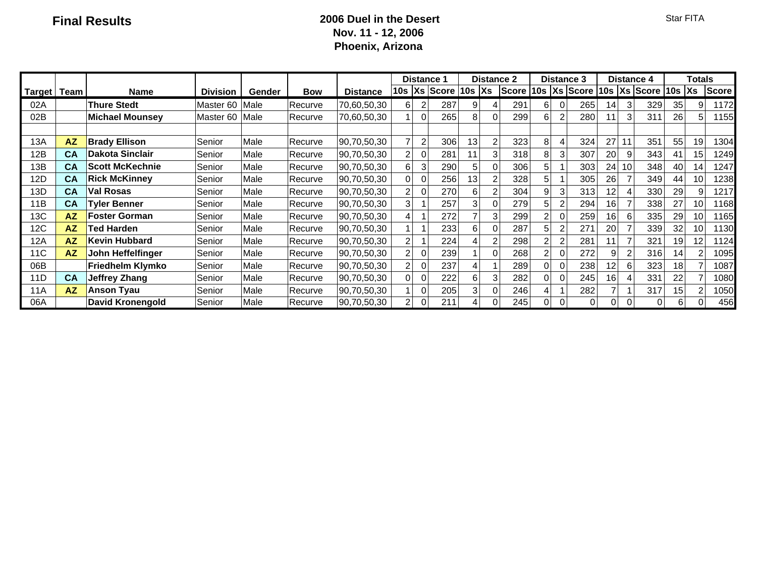### **Final Results 2006 Duel in the Desert Nov. 11 - 12, 2006 Phoenix, Arizona**

|                 |               |                         |                      |        |            |                 | Distance ' |                |     | <b>Distance 2</b>             | <b>Distance 3</b>     |          |          | <b>Distance 4</b> |                 |    | Totals                        |    |    |              |
|-----------------|---------------|-------------------------|----------------------|--------|------------|-----------------|------------|----------------|-----|-------------------------------|-----------------------|----------|----------|-------------------|-----------------|----|-------------------------------|----|----|--------------|
|                 | Target   Team | <b>Name</b>             | <b>Division</b>      | Gender | <b>Bow</b> | <b>Distance</b> |            |                |     | $10s$ $ Xs $ Score $ 10s Xs $ | Score  10s  Xs  Score |          |          |                   |                 |    | 10s $ Xs $ Score   10s $ Xs $ |    |    | <b>Score</b> |
| 02A             |               | <b>Thure Stedt</b>      | Master <sub>60</sub> | Male   | Recurve    | 70,60,50,30     | 6          |                | 287 | 9                             | 291                   | 6        | $\Omega$ | 265               | 14              |    | 329                           | 35 | 9  | 1172         |
| 02B             |               | <b>Michael Mounsey</b>  | Master <sub>60</sub> | Male   | Recurve    | 70,60,50,30     |            | $\mathbf{0}$   | 265 | 8                             | 299                   | 6        |          | 280               | 11              |    | 311                           | 26 | 5. | 1155         |
|                 |               |                         |                      |        |            |                 |            |                |     |                               |                       |          |          |                   |                 |    |                               |    |    |              |
| 13A             | ΑZ            | <b>Brady Ellison</b>    | Senior               | Male   | Recurve    | 90,70,50,30     |            | $\overline{c}$ | 306 | 13                            | 323                   | 8        |          | 324               | 27              |    | 351                           | 55 | 19 | 1304         |
| 12B             | CA            | <b>Dakota Sinclair</b>  | Senior               | Male   | Recurve    | 90,70,50,30     | 2          | 0              | 281 | 11                            | 318                   | 8        | 3        | 307               | 20              |    | 343                           | 41 | 15 | 1249         |
| 13B             | CA            | <b>Scott McKechnie</b>  | Senior               | Male   | Recurve    | 90,70,50,30     | 6          | 3              | 290 | 5                             | 306                   | 5        |          | 303               | 24              | 10 | 348                           | 40 | 14 | 1247         |
| 12D             | CA            | <b>Rick McKinney</b>    | Senior               | Male   | Recurve    | 90,70,50,30     | 0          | 0              | 256 | 13                            | 328                   | 5        |          | 305               | 26              |    | 349                           | 44 | 10 | 1238         |
| 13D             | CA            | <b>Val Rosas</b>        | Senior               | Male   | Recurve    | 90,70,50,30     | 2          | $\Omega$       | 270 | 6                             | 304                   | 9        |          | 313               | 12              |    | 330                           | 29 | 9  | 1217         |
| 11B             | CA            | <b>Tyler Benner</b>     | Senior               | Male   | Recurve    | 90,70,50,30     | 3          |                | 257 | 3                             | 279                   | 5        |          | 294               | 16              |    | 338                           | 27 | 10 | 1168         |
| 13C             | <b>AZ</b>     | <b>Foster Gorman</b>    | Senior               | Male   | Recurve    | 90,70,50,30     |            |                | 272 |                               | 299                   |          | 0        | 259               | 16              |    | 335                           | 29 | 10 | 1165         |
| 12C             | <b>AZ</b>     | Ted Harden              | Senior               | Male   | Recurve    | 90,70,50,30     |            |                | 233 | 6                             | 287                   | 5        |          | 271               | 20              |    | 339                           | 32 | 10 | 1130         |
| 12A             | <b>AZ</b>     | <b>Kevin Hubbard</b>    | Senior               | Male   | Recurve    | 90,70,50,30     | 2          |                | 224 |                               | 298                   |          |          | 281               | $\mathbf 1$     |    | 321                           | 19 | 12 | 1124         |
| 11 <sub>C</sub> | <b>AZ</b>     | John Heffelfinger       | Senior               | Male   | Recurve    | 90,70,50,30     | 2          | $\mathbf{0}$   | 239 |                               | 268                   |          |          | 272               | 9               |    | 316                           | 14 |    | 1095         |
| 06B             |               | Friedhelm Klymko        | Senior               | Male   | Recurve    | 90,70,50,30     | 2          | $\mathbf{0}$   | 237 |                               | 289                   | $\Omega$ | $\Omega$ | 238               | 12 <sub>1</sub> |    | 323                           | 18 |    | 1087         |
| 11D             | CA            | <b>Jeffrey Zhang</b>    | Senior               | Male   | Recurve    | 90,70,50,30     | 0          | $\mathbf{0}$   | 222 | 6                             | 282                   | 0        |          | 245               | 16              |    | 331                           | 22 |    | 1080         |
| 11A             | <b>AZ</b>     | <b>Anson Tyau</b>       | Senior               | Male   | Recurve    | 90,70,50,30     |            | 0              | 205 | 3                             | 246                   | 4        |          | 282               |                 |    | 317                           | 15 |    | 1050         |
| 06A             |               | <b>David Kronengold</b> | Senior               | Male   | Recurve    | 90,70,50,30     | 2          | $\mathbf 0$    | 211 | 4                             | 245                   | 0        | 0        | 0                 | $\Omega$        |    |                               | 6  | 0  | 456          |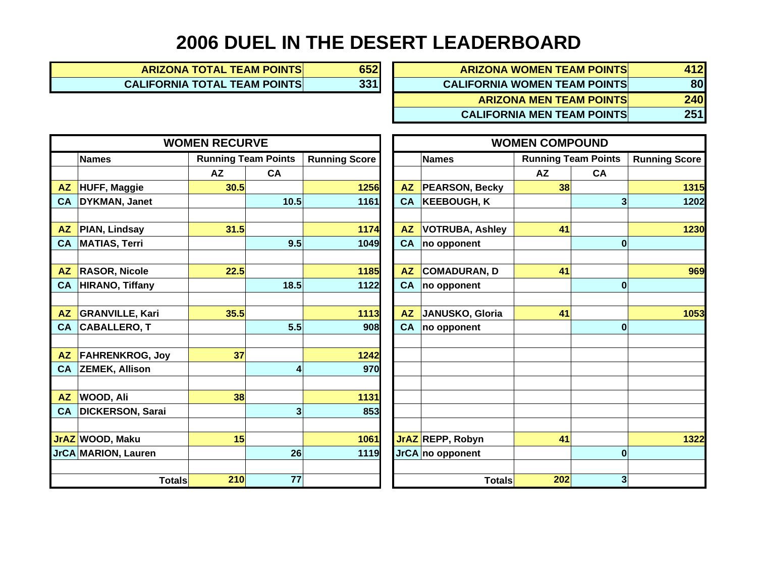# **2006 DUEL IN THE DESERT LEADERBOARD**

| 652 | <b>ARIZONA WOMEN TEAM POINTS</b>    | 412 |
|-----|-------------------------------------|-----|
| 331 | <b>CALIFORNIA WOMEN TEAM POINTS</b> | 80  |
|     | <b>ARIZONA MEN TEAM POINTS</b>      | 240 |
|     | <b>CALIFORNIA MEN TEAM POINTS</b>   | 251 |

|           |                         | <b>WOMEN RECURVE</b>       |      |                      |           | <b>WOMEN COMPOUND</b>  |                            |           |                      |
|-----------|-------------------------|----------------------------|------|----------------------|-----------|------------------------|----------------------------|-----------|----------------------|
|           | <b>Names</b>            | <b>Running Team Points</b> |      | <b>Running Score</b> |           | <b>Names</b>           | <b>Running Team Points</b> |           | <b>Running Score</b> |
|           |                         | <b>AZ</b>                  | CA   |                      |           |                        | <b>AZ</b>                  | <b>CA</b> |                      |
|           | AZ HUFF, Maggie         | 30.5                       |      | 1256                 | <b>AZ</b> | <b>PEARSON, Becky</b>  | 38                         |           | 1315                 |
| <b>CA</b> | DYKMAN, Janet           |                            | 10.5 | 1161                 | <b>CA</b> | <b>KEEBOUGH, K</b>     |                            | 3         | 1202                 |
|           |                         |                            |      |                      |           |                        |                            |           |                      |
| <b>AZ</b> | PIAN, Lindsay           | 31.5                       |      | 1174                 | <b>AZ</b> | <b>VOTRUBA, Ashley</b> | 41                         |           | 1230                 |
| CA        | MATIAS, Terri           |                            | 9.5  | 1049                 | <b>CA</b> | no opponent            |                            | $\bf{0}$  |                      |
|           |                         |                            |      |                      |           |                        |                            |           |                      |
| <b>AZ</b> | <b>RASOR, Nicole</b>    | 22.5                       |      | 1185                 | <b>AZ</b> | COMADURAN, D           | 41                         |           | 969                  |
| <b>CA</b> | <b>HIRANO, Tiffany</b>  |                            | 18.5 | 1122                 | <b>CA</b> | no opponent            |                            | $\bf{0}$  |                      |
|           |                         |                            |      |                      |           |                        |                            |           |                      |
| <b>AZ</b> | <b>GRANVILLE, Kari</b>  | 35.5                       |      | 1113                 | <b>AZ</b> | JANUSKO, Gloria        | 41                         |           | 1053                 |
|           | CA CABALLERO, T         |                            | 5.5  | 908                  | <b>CA</b> | no opponent            |                            | $\bf{0}$  |                      |
|           |                         |                            |      |                      |           |                        |                            |           |                      |
|           | AZ FAHRENKROG, Joy      | 37                         |      | 1242                 |           |                        |                            |           |                      |
| <b>CA</b> | <b>ZEMEK, Allison</b>   |                            | 4    | 970                  |           |                        |                            |           |                      |
|           |                         |                            |      |                      |           |                        |                            |           |                      |
| <b>AZ</b> | <b>WOOD, Ali</b>        | 38                         |      | 1131                 |           |                        |                            |           |                      |
| <b>CA</b> | <b>DICKERSON, Sarai</b> |                            | 3    | 853                  |           |                        |                            |           |                      |
|           |                         |                            |      |                      |           |                        |                            |           |                      |
|           | JrAZ WOOD, Maku         | 15                         |      | 1061                 |           | JrAZ REPP, Robyn       | 41                         |           | 1322                 |
|           | JrCA MARION, Lauren     |                            | 26   | 1119                 |           | JrCA no opponent       |                            | $\bf{0}$  |                      |
|           |                         |                            |      |                      |           |                        |                            |           |                      |
|           | <b>Totals</b>           | 210                        | 77   |                      |           | <b>Totals</b>          | 202                        | 3         |                      |

**ARIZONA TOTAL TEAM POINTS 652 CALIFORNIA TOTAL TEAM POINTS 1331** 

|                         | <b>WOMEN RECURVE</b>       |                |                      | <b>WOMEN COMPOUND</b> |                        |                            |                  |                      |  |  |  |  |  |
|-------------------------|----------------------------|----------------|----------------------|-----------------------|------------------------|----------------------------|------------------|----------------------|--|--|--|--|--|
| <b>Names</b>            | <b>Running Team Points</b> |                | <b>Running Score</b> |                       | <b>Names</b>           | <b>Running Team Points</b> |                  | <b>Running Score</b> |  |  |  |  |  |
|                         | <b>AZ</b>                  | CA             |                      |                       |                        | <b>AZ</b>                  | <b>CA</b>        |                      |  |  |  |  |  |
| <b>HUFF, Maggie</b>     | 30.5                       |                | 1256                 | <b>AZ</b>             | <b>PEARSON, Becky</b>  | 38                         |                  | 1315                 |  |  |  |  |  |
| DYKMAN, Janet           |                            | 10.5           | 1161                 | <b>CA</b>             | <b>KEEBOUGH, K</b>     |                            | 3                | 1202                 |  |  |  |  |  |
|                         |                            |                |                      |                       |                        |                            |                  |                      |  |  |  |  |  |
| PIAN, Lindsay           | 31.5                       |                | 1174                 | <b>AZ</b>             | <b>VOTRUBA, Ashley</b> | 41                         |                  | 1230                 |  |  |  |  |  |
| <b>MATIAS, Terri</b>    |                            | 9.5            | 1049                 | <b>CA</b>             | no opponent            |                            | $\bf{0}$         |                      |  |  |  |  |  |
|                         |                            |                |                      |                       |                        |                            |                  |                      |  |  |  |  |  |
| <b>RASOR, Nicole</b>    | 22.5                       |                | 1185                 | <b>AZ</b>             | <b>COMADURAN, D</b>    | 41                         |                  | 969                  |  |  |  |  |  |
| <b>HIRANO, Tiffany</b>  |                            | 18.5           | 1122                 | <b>CA</b>             | no opponent            |                            | $\bf{0}$         |                      |  |  |  |  |  |
|                         |                            |                |                      |                       |                        |                            |                  |                      |  |  |  |  |  |
| <b>GRANVILLE, Kari</b>  | 35.5                       |                | 1113                 | <b>AZ</b>             | JANUSKO, Gloria        | 41                         |                  | 1053                 |  |  |  |  |  |
| <b>CABALLERO, T</b>     |                            | 5.5            | 908                  | <b>CA</b>             | no opponent            |                            | $\bf{0}$         |                      |  |  |  |  |  |
|                         |                            |                |                      |                       |                        |                            |                  |                      |  |  |  |  |  |
| <b>FAHRENKROG, Joy</b>  | 37                         |                | 1242                 |                       |                        |                            |                  |                      |  |  |  |  |  |
| ZEMEK, Allison          |                            | $\overline{4}$ | 970                  |                       |                        |                            |                  |                      |  |  |  |  |  |
|                         |                            |                |                      |                       |                        |                            |                  |                      |  |  |  |  |  |
| WOOD, Ali               | 38                         |                | 1131                 |                       |                        |                            |                  |                      |  |  |  |  |  |
| <b>DICKERSON, Sarai</b> |                            | 3              | 853                  |                       |                        |                            |                  |                      |  |  |  |  |  |
|                         |                            |                |                      |                       |                        |                            |                  |                      |  |  |  |  |  |
| WOOD, Maku              | 15                         |                | 1061                 |                       | JrAZ REPP, Robyn       | 41                         |                  | 1322                 |  |  |  |  |  |
| <b>MARION, Lauren</b>   |                            | 26             | 1119                 |                       | JrCA no opponent       |                            | $\boldsymbol{0}$ |                      |  |  |  |  |  |
|                         |                            |                |                      |                       |                        |                            |                  |                      |  |  |  |  |  |
| Totals                  | 210                        | 77             |                      |                       | <b>Totals</b>          | 202                        | 3                |                      |  |  |  |  |  |